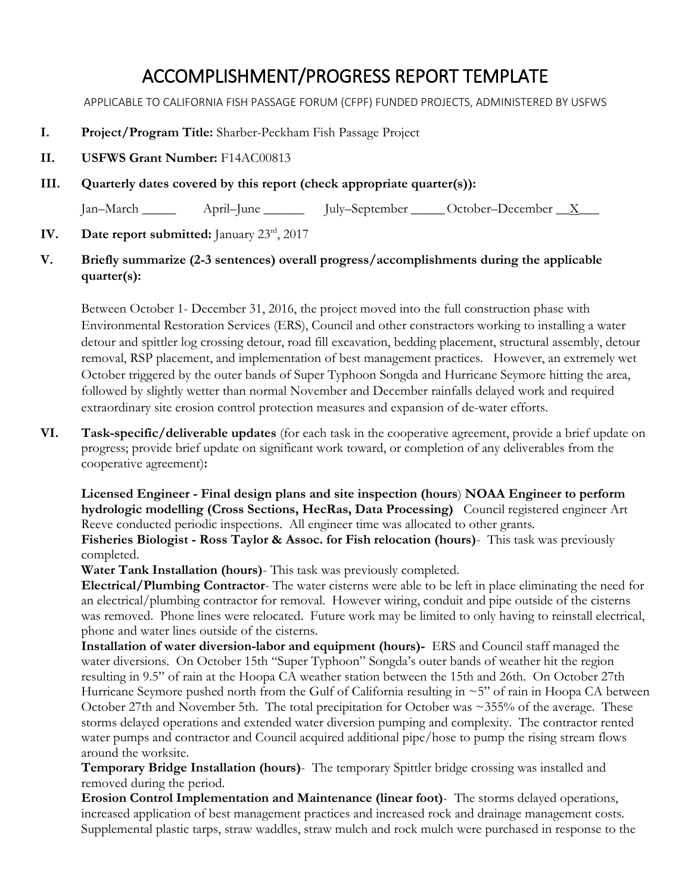## ACCOMPLISHMENT/PROGRESS REPORT TEMPLATE

APPLICABLE TO CALIFORNIA FISH PASSAGE FORUM (CFPF) FUNDED PROJECTS, ADMINISTERED BY USFWS

- **I. Project/Program Title:** Sharber-Peckham Fish Passage Project
- **II. USFWS Grant Number:** F14AC00813
- **III. Quarterly dates covered by this report (check appropriate quarter(s)):**

Jan–March April–June July–September October–December X

**IV.** Date report submitted: January 23rd, 2017

**V. Briefly summarize (2-3 sentences) overall progress/accomplishments during the applicable quarter(s):** 

Between October 1- December 31, 2016, the project moved into the full construction phase with Environmental Restoration Services (ERS), Council and other constractors working to installing a water detour and spittler log crossing detour, road fill excavation, bedding placement, structural assembly, detour removal, RSP placement, and implementation of best management practices. However, an extremely wet October triggered by the outer bands of Super Typhoon Songda and Hurricane Seymore hitting the area, followed by slightly wetter than normal November and December rainfalls delayed work and required extraordinary site erosion control protection measures and expansion of de-water efforts.

**VI. Task-specific/deliverable updates** (for each task in the cooperative agreement, provide a brief update on progress; provide brief update on significant work toward, or completion of any deliverables from the cooperative agreement)**:**

**Licensed Engineer - Final design plans and site inspection (hours**) **NOAA Engineer to perform hydrologic modelling (Cross Sections, HecRas, Data Processing)** Council registered engineer Art Reeve conducted periodic inspections. All engineer time was allocated to other grants.

**Fisheries Biologist - Ross Taylor & Assoc. for Fish relocation (hours)**- This task was previously completed.

**Water Tank Installation (hours)**- This task was previously completed.

**Electrical/Plumbing Contractor**- The water cisterns were able to be left in place eliminating the need for an electrical/plumbing contractor for removal. However wiring, conduit and pipe outside of the cisterns was removed. Phone lines were relocated. Future work may be limited to only having to reinstall electrical, phone and water lines outside of the cisterns.

**Installation of water diversion-labor and equipment (hours)-** ERS and Council staff managed the water diversions. On October 15th "Super Typhoon" Songda's outer bands of weather hit the region resulting in 9.5" of rain at the Hoopa CA weather station between the 15th and 26th. On October 27th Hurricane Seymore pushed north from the Gulf of California resulting in  $\sim$  5" of rain in Hoopa CA between October 27th and November 5th. The total precipitation for October was ~355% of the average. These storms delayed operations and extended water diversion pumping and complexity. The contractor rented water pumps and contractor and Council acquired additional pipe/hose to pump the rising stream flows around the worksite.

**Temporary Bridge Installation (hours)**- The temporary Spittler bridge crossing was installed and removed during the period.

**Erosion Control Implementation and Maintenance (linear foot)**- The storms delayed operations, increased application of best management practices and increased rock and drainage management costs. Supplemental plastic tarps, straw waddles, straw mulch and rock mulch were purchased in response to the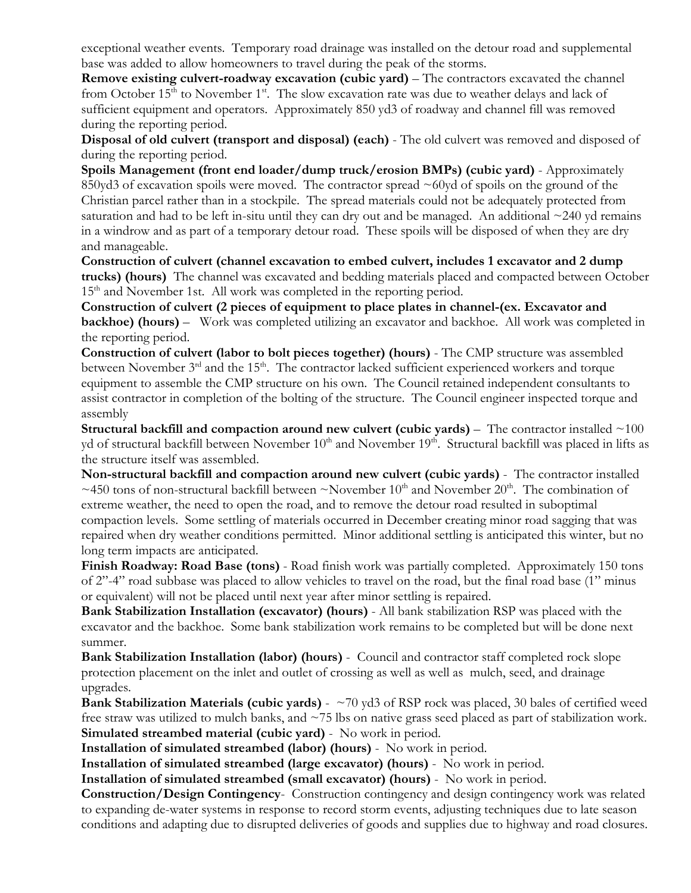exceptional weather events. Temporary road drainage was installed on the detour road and supplemental base was added to allow homeowners to travel during the peak of the storms.

**Remove existing culvert-roadway excavation (cubic yard)** – The contractors excavated the channel from October  $15<sup>th</sup>$  to November 1<sup>st</sup>. The slow excavation rate was due to weather delays and lack of sufficient equipment and operators. Approximately 850 yd3 of roadway and channel fill was removed during the reporting period.

**Disposal of old culvert (transport and disposal) (each)** - The old culvert was removed and disposed of during the reporting period.

**Spoils Management (front end loader/dump truck/erosion BMPs) (cubic yard)** - Approximately 850yd3 of excavation spoils were moved. The contractor spread ~60yd of spoils on the ground of the Christian parcel rather than in a stockpile. The spread materials could not be adequately protected from saturation and had to be left in-situ until they can dry out and be managed. An additional  $\sim$ 240 yd remains in a windrow and as part of a temporary detour road. These spoils will be disposed of when they are dry and manageable.

**Construction of culvert (channel excavation to embed culvert, includes 1 excavator and 2 dump trucks) (hours)** The channel was excavated and bedding materials placed and compacted between October 15<sup>th</sup> and November 1st. All work was completed in the reporting period.

**Construction of culvert (2 pieces of equipment to place plates in channel-(ex. Excavator and backhoe) (hours)** – Work was completed utilizing an excavator and backhoe. All work was completed in the reporting period.

**Construction of culvert (labor to bolt pieces together) (hours)** - The CMP structure was assembled between November 3<sup>rd</sup> and the 15<sup>th</sup>. The contractor lacked sufficient experienced workers and torque equipment to assemble the CMP structure on his own. The Council retained independent consultants to assist contractor in completion of the bolting of the structure. The Council engineer inspected torque and assembly

**Structural backfill and compaction around new culvert (cubic yards)** – The contractor installed ~100 yd of structural backfill between November  $10<sup>th</sup>$  and November  $19<sup>th</sup>$ . Structural backfill was placed in lifts as the structure itself was assembled.

**Non-structural backfill and compaction around new culvert (cubic yards)** - The contractor installed ~450 tons of non-structural backfill between ~November  $10<sup>th</sup>$  and November  $20<sup>th</sup>$ . The combination of extreme weather, the need to open the road, and to remove the detour road resulted in suboptimal compaction levels. Some settling of materials occurred in December creating minor road sagging that was repaired when dry weather conditions permitted. Minor additional settling is anticipated this winter, but no long term impacts are anticipated.

**Finish Roadway: Road Base (tons)** - Road finish work was partially completed. Approximately 150 tons of 2"-4" road subbase was placed to allow vehicles to travel on the road, but the final road base (1" minus or equivalent) will not be placed until next year after minor settling is repaired.

**Bank Stabilization Installation (excavator) (hours)** - All bank stabilization RSP was placed with the excavator and the backhoe. Some bank stabilization work remains to be completed but will be done next summer.

**Bank Stabilization Installation (labor) (hours)** - Council and contractor staff completed rock slope protection placement on the inlet and outlet of crossing as well as well as mulch, seed, and drainage upgrades.

**Bank Stabilization Materials (cubic yards)** - ~70 yd3 of RSP rock was placed, 30 bales of certified weed free straw was utilized to mulch banks, and ~75 lbs on native grass seed placed as part of stabilization work. **Simulated streambed material (cubic yard)** - No work in period.

**Installation of simulated streambed (labor) (hours)** - No work in period.

**Installation of simulated streambed (large excavator) (hours)** - No work in period.

**Installation of simulated streambed (small excavator) (hours)** - No work in period.

**Construction/Design Contingency**- Construction contingency and design contingency work was related to expanding de-water systems in response to record storm events, adjusting techniques due to late season conditions and adapting due to disrupted deliveries of goods and supplies due to highway and road closures.